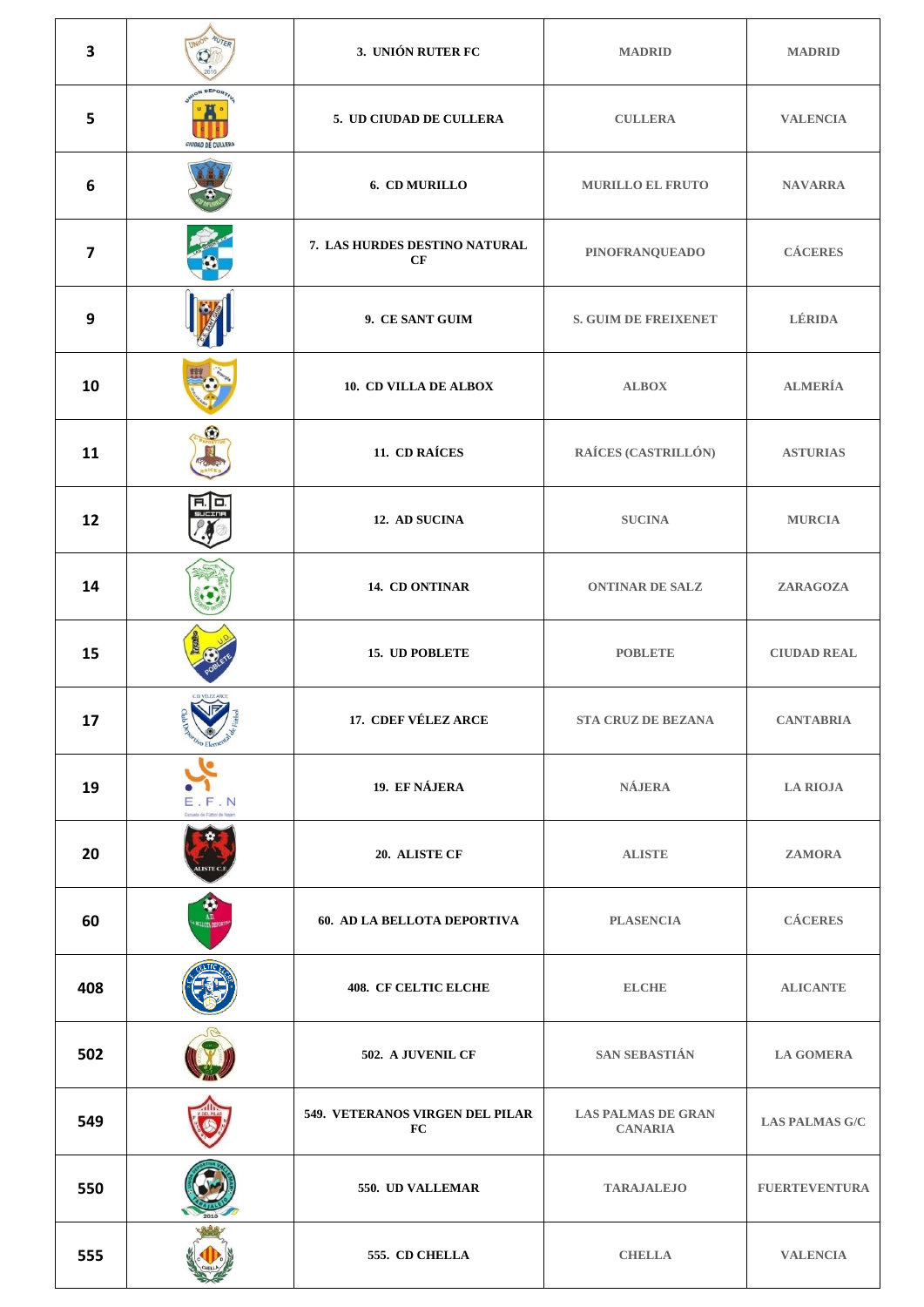| $\overline{\mathbf{3}}$ |                                                 | 3. UNIÓN RUTER FC                     | <b>MADRID</b>                               | <b>MADRID</b>         |
|-------------------------|-------------------------------------------------|---------------------------------------|---------------------------------------------|-----------------------|
| 5                       | CIUDAD DE CULLERI                               | 5. UD CIUDAD DE CULLERA               | <b>CULLERA</b>                              | <b>VALENCIA</b>       |
| $\boldsymbol{6}$        |                                                 | 6. CD MURILLO                         | <b>MURILLO EL FRUTO</b>                     | <b>NAVARRA</b>        |
| $\overline{\mathbf{z}}$ |                                                 | 7. LAS HURDES DESTINO NATURAL<br>CF   | PINOFRANQUEADO                              | <b>CÁCERES</b>        |
| 9                       |                                                 | 9. CE SANT GUIM                       | <b>S. GUIM DE FREIXENET</b>                 | LÉRIDA                |
| 10                      |                                                 | 10. CD VILLA DE ALBOX                 | <b>ALBOX</b>                                | <b>ALMERÍA</b>        |
| 11                      | G.                                              | 11. CD RAÍCES                         | RAÍCES (CASTRILLÓN)                         | <b>ASTURIAS</b>       |
| 12                      |                                                 | 12. AD SUCINA                         | <b>SUCINA</b>                               | <b>MURCIA</b>         |
| 14                      |                                                 | 14. CD ONTINAR                        | <b>ONTINAR DE SALZ</b>                      | ZARAGOZA              |
| 15                      |                                                 | 15. UD POBLETE                        | <b>POBLETE</b>                              | <b>CIUDAD REAL</b>    |
| 17                      | NF                                              | 17. CDEF VÉLEZ ARCE                   | <b>STA CRUZ DE BEZANA</b>                   | <b>CANTABRIA</b>      |
| 19                      | $F \cdot N$<br>Е<br>Escuela de Fútbol de Najera | 19. EF NÁJERA                         | <b>NÁJERA</b>                               | <b>LA RIOJA</b>       |
| 20                      | <b>LISTE</b>                                    | 20. ALISTE CF                         | <b>ALISTE</b>                               | <b>ZAMORA</b>         |
| 60                      | A.D.<br>HELLOTA DEPO                            | 60. AD LA BELLOTA DEPORTIVA           | <b>PLASENCIA</b>                            | <b>CÁCERES</b>        |
| 408                     |                                                 | <b>408. CF CELTIC ELCHE</b>           | <b>ELCHE</b>                                | <b>ALICANTE</b>       |
| 502                     |                                                 | 502. A JUVENIL CF                     | SAN SEBASTIÁN                               | <b>LA GOMERA</b>      |
| 549                     |                                                 | 549. VETERANOS VIRGEN DEL PILAR<br>FC | <b>LAS PALMAS DE GRAN</b><br><b>CANARIA</b> | <b>LAS PALMAS G/C</b> |
| 550                     |                                                 | 550. UD VALLEMAR                      | <b>TARAJALEJO</b>                           | <b>FUERTEVENTURA</b>  |
| 555                     |                                                 | 555. CD CHELLA                        | <b>CHELLA</b>                               | <b>VALENCIA</b>       |